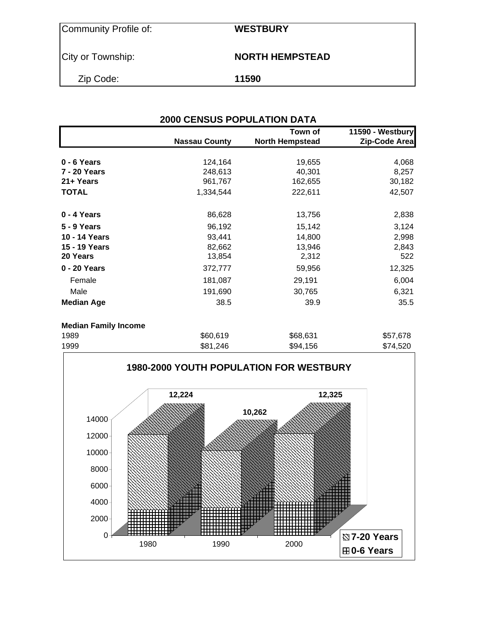| <b>Community Profile of:</b> |
|------------------------------|
|------------------------------|

Community Profile of: **WESTBURY**

City or Township: **NORTH HEMPSTEAD**

Zip Code: **11590**

|                             | <b>2000 CENSUS POPULATION DATA</b> |                                   |                                   |
|-----------------------------|------------------------------------|-----------------------------------|-----------------------------------|
|                             | <b>Nassau County</b>               | Town of<br><b>North Hempstead</b> | 11590 - Westbury<br>Zip-Code Area |
| 0 - 6 Years                 | 124,164                            | 19,655                            | 4,068                             |
| 7 - 20 Years                | 248,613                            | 40,301                            | 8,257                             |
| 21+ Years                   | 961,767                            | 162,655                           | 30,182                            |
| <b>TOTAL</b>                | 1,334,544                          | 222,611                           | 42,507                            |
| 0 - 4 Years                 | 86,628                             | 13,756                            | 2,838                             |
| 5 - 9 Years                 | 96,192                             | 15,142                            | 3,124                             |
| 10 - 14 Years               | 93,441                             | 14,800                            | 2,998                             |
| 15 - 19 Years               | 82,662                             | 13,946                            | 2,843                             |
| 20 Years                    | 13,854                             | 2,312                             | 522                               |
| 0 - 20 Years                | 372,777                            | 59,956                            | 12,325                            |
| Female                      | 181,087                            | 29,191                            | 6,004                             |
| Male                        | 191,690                            | 30,765                            | 6,321                             |
| <b>Median Age</b>           | 38.5                               | 39.9                              | 35.5                              |
| <b>Median Family Income</b> |                                    |                                   |                                   |
| 1989                        | \$60,619                           | \$68,631                          | \$57,678                          |

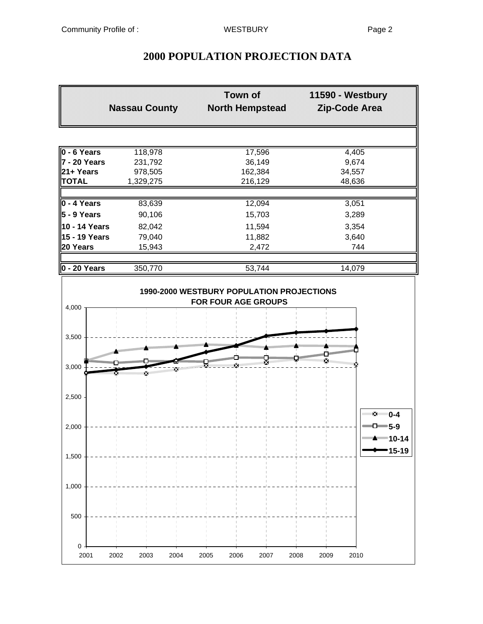| <b>Nassau County</b>    | <b>Town of</b><br><b>North Hempstead</b> | 11590 - Westbury<br>Zip-Code Area |
|-------------------------|------------------------------------------|-----------------------------------|
|                         |                                          |                                   |
| 118,978                 | 17,596                                   | 4,405                             |
| 231,792                 | 36,149                                   | 9,674                             |
| 978,505                 | 162,384                                  | 34,557                            |
| 1,329,275               | 216,129                                  | 48,636                            |
|                         |                                          | 3,051                             |
| 90,106                  | 15,703                                   | 3,289                             |
| 10 - 14 Years<br>82,042 | 11,594                                   | 3,354                             |
| 15 - 19 Years<br>79,040 | 11,882                                   | 3,640                             |
| 15,943                  | 2,472                                    | 744                               |
| 350,770                 | 53,744                                   | 14,079                            |
|                         | 83,639                                   | 12,094                            |



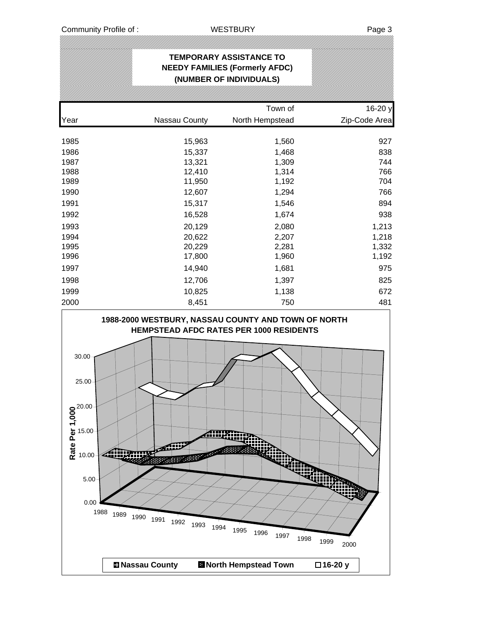|      |               | <b>TEMPORARY ASSISTANCE TO</b><br><b>NEEDY FAMILIES (Formerly AFDC)</b><br>(NUMBER OF INDIVIDUALS) |               |
|------|---------------|----------------------------------------------------------------------------------------------------|---------------|
|      |               | Town of                                                                                            | 16-20 y       |
| Year | Nassau County | North Hempstead                                                                                    | Zip-Code Area |
| 1985 | 15,963        | 1,560                                                                                              | 927           |
| 1986 | 15,337        | 1,468                                                                                              | 838           |
| 1987 | 13,321        | 1,309                                                                                              | 744           |
| 1988 | 12,410        | 1,314                                                                                              | 766           |
| 1989 | 11,950        | 1,192                                                                                              | 704           |
| 1990 | 12,607        | 1,294                                                                                              | 766           |
| 1991 | 15,317        | 1,546                                                                                              | 894           |
| 1992 | 16,528        | 1,674                                                                                              | 938           |
| 1993 | 20,129        | 2,080                                                                                              | 1,213         |
| 1994 | 20,622        | 2,207                                                                                              | 1,218         |
| 1995 | 20,229        | 2,281                                                                                              | 1,332         |
| 1996 | 17,800        | 1,960                                                                                              | 1,192         |
| 1997 | 14,940        | 1,681                                                                                              | 975           |
| 1998 | 12,706        | 1,397                                                                                              | 825           |
| 1999 | 10,825        | 1,138                                                                                              | 672           |
| 2000 | 8,451         | 750                                                                                                | 481           |

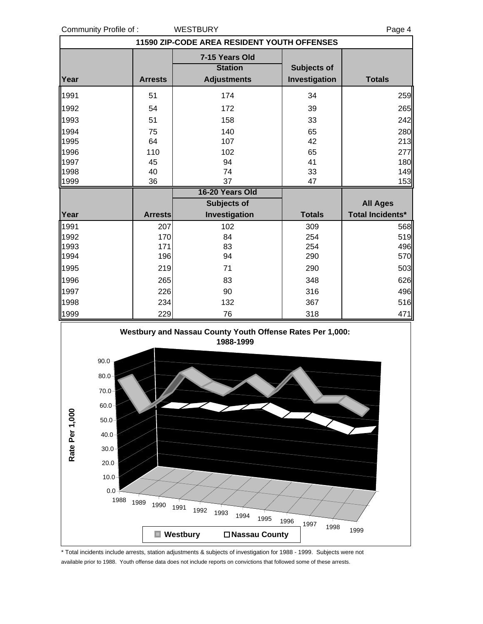Community Profile of : WESTBURY **Page 4** Page 4

| 11590 ZIP-CODE AREA RESIDENT YOUTH OFFENSES |                |                    |               |                         |  |  |  |  |
|---------------------------------------------|----------------|--------------------|---------------|-------------------------|--|--|--|--|
|                                             |                | 7-15 Years Old     |               |                         |  |  |  |  |
|                                             |                | <b>Station</b>     | Subjects of   |                         |  |  |  |  |
| Year                                        | <b>Arrests</b> | <b>Adjustments</b> | Investigation | <b>Totals</b>           |  |  |  |  |
| 1991                                        | 51             | 174                | 34            | 259                     |  |  |  |  |
| 1992                                        | 54             | 172                | 39            | 265                     |  |  |  |  |
| 1993                                        | 51             | 158                | 33            | 242                     |  |  |  |  |
| 1994                                        | 75             | 140                | 65            | 280                     |  |  |  |  |
| 1995                                        | 64             | 107                | 42            | 213                     |  |  |  |  |
| 1996                                        | 110            | 102                | 65            | 277                     |  |  |  |  |
| 1997                                        | 45             | 94                 | 41            | 180                     |  |  |  |  |
| 1998                                        | 40             | 74                 | 33            | 149                     |  |  |  |  |
| 1999                                        | 36             | 37                 | 47            | 153                     |  |  |  |  |
|                                             |                | 16-20 Years Old    |               |                         |  |  |  |  |
|                                             |                | <b>Subjects of</b> |               | <b>All Ages</b>         |  |  |  |  |
| Year                                        | <b>Arrests</b> | Investigation      | <b>Totals</b> | <b>Total Incidents*</b> |  |  |  |  |
| 1991                                        | 207            | 102                | 309           | 568                     |  |  |  |  |
| 1992                                        | 170            | 84                 | 254           | 519                     |  |  |  |  |
| 1993                                        | 171            | 83                 | 254           | 496                     |  |  |  |  |
| 1994                                        | 196            | 94                 | 290           | 570                     |  |  |  |  |
| 1995                                        | 219            | 71                 | 290           | 503                     |  |  |  |  |
| 1996                                        | 265            | 83                 | 348           | 626                     |  |  |  |  |
| 1997                                        | 226            | 90                 | 316           | 496                     |  |  |  |  |
| 1998                                        | 234            | 132                | 367           | 516                     |  |  |  |  |
| 1999                                        | 229            | 76                 | 318           | 471                     |  |  |  |  |



\* Total incidents include arrests, station adjustments & subjects of investigation for 1988 - 1999. Subjects were not available prior to 1988. Youth offense data does not include reports on convictions that followed some of these arrests.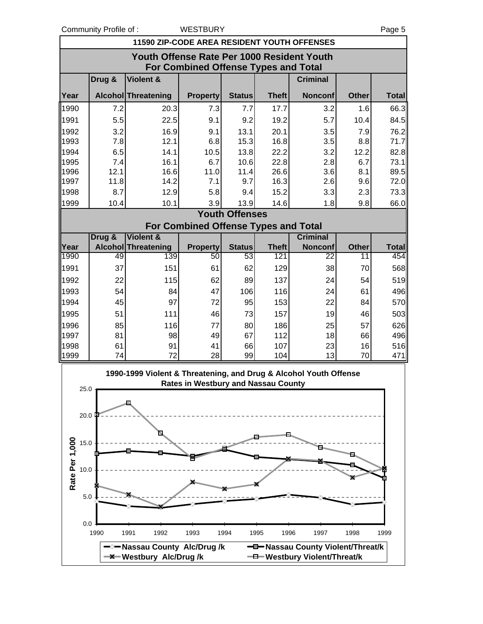Community Profile of : WESTBURY **Page 5** 

|                        | 11590 ZIP-CODE AREA RESIDENT YOUTH OFFENSES                                               |                                                                   |                                             |                       |                     |                                   |                    |                     |  |  |  |  |
|------------------------|-------------------------------------------------------------------------------------------|-------------------------------------------------------------------|---------------------------------------------|-----------------------|---------------------|-----------------------------------|--------------------|---------------------|--|--|--|--|
|                        | Youth Offense Rate Per 1000 Resident Youth<br><b>For Combined Offense Types and Total</b> |                                                                   |                                             |                       |                     |                                   |                    |                     |  |  |  |  |
|                        | Drug &                                                                                    | <b>Violent &amp;</b>                                              |                                             |                       |                     | <b>Criminal</b>                   |                    |                     |  |  |  |  |
| Year                   |                                                                                           | <b>Alcohol Threatening</b>                                        | <b>Property</b>                             | <b>Status</b>         | <b>Theft</b>        | <b>Nonconf</b>                    | <b>Other</b>       | <b>Total</b>        |  |  |  |  |
| 1990                   | 7.2                                                                                       | 20.3                                                              | 7.3                                         | 7.7                   | 17.7                | 3.2                               | 1.6                | 66.3                |  |  |  |  |
| 1991                   | 5.5                                                                                       | 22.5                                                              | 9.1                                         | 9.2                   | 19.2                | 5.7                               | 10.4               | 84.5                |  |  |  |  |
| 1992                   | 3.2                                                                                       | 16.9                                                              | 9.1                                         | 13.1                  | 20.1                | 3.5                               | 7.9                | 76.2                |  |  |  |  |
| 1993                   | 7.8                                                                                       | 12.1                                                              | 6.8                                         | 15.3                  | 16.8                | 3.5                               | 8.8                | 71.7                |  |  |  |  |
| 1994                   | 6.5                                                                                       | 14.1                                                              | 10.5                                        | 13.8                  | 22.2                | 3.2                               | 12.2               | 82.8                |  |  |  |  |
| 1995                   | 7.4                                                                                       | 16.1                                                              | 6.7                                         | 10.6                  | 22.8                | 2.8                               | 6.7                | 73.1                |  |  |  |  |
| 1996                   | 12.1                                                                                      | 16.6                                                              | 11.0                                        | 11.4                  | 26.6                | 3.6                               | 8.1                | 89.5                |  |  |  |  |
| 1997                   | 11.8                                                                                      | 14.2                                                              | 7.1                                         | 9.7                   | 16.3                | 2.6                               | 9.6                | 72.0                |  |  |  |  |
| 1998                   | 8.7                                                                                       | 12.9                                                              | 5.8                                         | 9.4                   | 15.2                | 3.3                               | 2.3                | 73.3                |  |  |  |  |
| 1999                   | 10.4                                                                                      | 10.1                                                              | 3.9                                         | 13.9                  | 14.6                | 1.8                               | 9.8                | 66.0                |  |  |  |  |
|                        |                                                                                           |                                                                   |                                             | <b>Youth Offenses</b> |                     |                                   |                    |                     |  |  |  |  |
|                        |                                                                                           |                                                                   | <b>For Combined Offense Types and Total</b> |                       |                     |                                   |                    |                     |  |  |  |  |
|                        | Drug &                                                                                    | <b>Violent &amp;</b>                                              |                                             |                       |                     | <b>Criminal</b>                   |                    |                     |  |  |  |  |
| Year<br>1990           | 49                                                                                        | <b>Alcohol Threatening</b><br>139                                 | <b>Property</b><br>50                       | <b>Status</b><br>53   | <b>Theft</b><br>121 | <b>Nonconf</b><br>22              | <b>Other</b><br>11 | <b>Total</b><br>454 |  |  |  |  |
| 1991                   | 37                                                                                        | 151                                                               | 61                                          | 62                    | 129                 | 38                                | 70                 | 568                 |  |  |  |  |
|                        |                                                                                           |                                                                   |                                             |                       |                     |                                   |                    |                     |  |  |  |  |
| 1992                   | 22                                                                                        | 115                                                               | 62                                          | 89                    | 137                 | 24                                | 54                 | 519                 |  |  |  |  |
| 1993                   | 54                                                                                        | 84                                                                | 47                                          | 106                   | 116                 | 24                                | 61                 | 496                 |  |  |  |  |
| 1994                   | 45                                                                                        | 97                                                                | 72                                          | 95                    | 153                 | 22                                | 84                 | 570                 |  |  |  |  |
| 1995                   | 51                                                                                        | 111                                                               | 46                                          | 73                    | 157                 | 19                                | 46                 | 503                 |  |  |  |  |
| 1996                   | 85                                                                                        | 116                                                               | 77                                          | 80                    | 186                 | 25                                | 57                 | 626                 |  |  |  |  |
| 1997                   | 81                                                                                        | 98                                                                | 49                                          | 67                    | 112                 | 18                                | 66                 | 496                 |  |  |  |  |
| 1998<br>1999           | 61<br>74                                                                                  | 91<br>72                                                          | 41<br>28                                    | 66<br>99              | 107<br>104          | 23<br>13                          | 16<br>70           | 516<br>471          |  |  |  |  |
|                        |                                                                                           |                                                                   |                                             |                       |                     |                                   |                    |                     |  |  |  |  |
|                        | $25.0 -$                                                                                  | 1990-1999 Violent & Threatening, and Drug & Alcohol Youth Offense | <b>Rates in Westbury and Nassau County</b>  |                       |                     |                                   |                    |                     |  |  |  |  |
|                        |                                                                                           |                                                                   |                                             |                       |                     |                                   |                    |                     |  |  |  |  |
| 20.0                   |                                                                                           |                                                                   |                                             |                       |                     |                                   |                    |                     |  |  |  |  |
|                        |                                                                                           |                                                                   |                                             |                       |                     |                                   |                    |                     |  |  |  |  |
| 15.0                   |                                                                                           |                                                                   |                                             |                       |                     |                                   |                    |                     |  |  |  |  |
|                        |                                                                                           |                                                                   |                                             |                       |                     |                                   |                    |                     |  |  |  |  |
|                        |                                                                                           |                                                                   |                                             |                       |                     |                                   |                    |                     |  |  |  |  |
| Rate Per 1,000<br>10.0 |                                                                                           |                                                                   |                                             |                       |                     |                                   |                    |                     |  |  |  |  |
|                        |                                                                                           |                                                                   |                                             |                       |                     |                                   |                    |                     |  |  |  |  |
| 5.0                    |                                                                                           |                                                                   |                                             |                       |                     |                                   |                    |                     |  |  |  |  |
|                        |                                                                                           |                                                                   |                                             |                       |                     |                                   |                    |                     |  |  |  |  |
| 0.0                    |                                                                                           |                                                                   |                                             |                       |                     |                                   |                    |                     |  |  |  |  |
|                        | 1990                                                                                      | 1991<br>1992                                                      | 1993                                        | 1994                  | 1995<br>1996        | 1997                              | 1998               | 1999                |  |  |  |  |
|                        |                                                                                           | -⊠— Nassau County Alc/Drug/k                                      |                                             |                       |                     | -D-Nassau County Violent/Threat/k |                    |                     |  |  |  |  |
|                        |                                                                                           | <b>X</b> Westbury Alc/Drug/k                                      |                                             |                       |                     | -0-Westbury Violent/Threat/k      |                    |                     |  |  |  |  |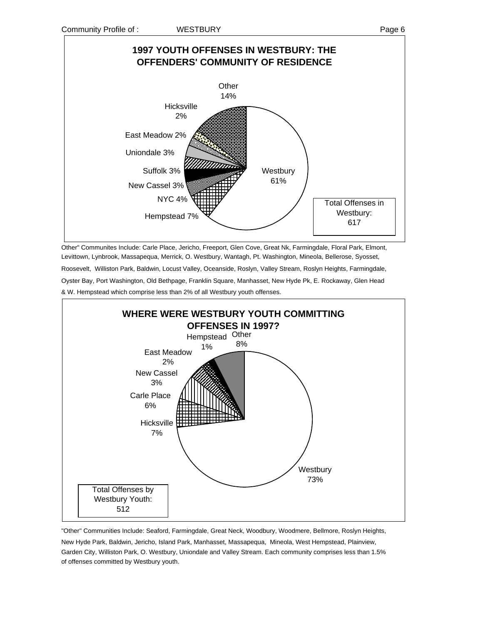

Other" Communites Include: Carle Place, Jericho, Freeport, Glen Cove, Great Nk, Farmingdale, Floral Park, Elmont, Levittown, Lynbrook, Massapequa, Merrick, O. Westbury, Wantagh, Pt. Washington, Mineola, Bellerose, Syosset, Roosevelt, Williston Park, Baldwin, Locust Valley, Oceanside, Roslyn, Valley Stream, Roslyn Heights, Farmingdale, Oyster Bay, Port Washington, Old Bethpage, Franklin Square, Manhasset, New Hyde Pk, E. Rockaway, Glen Head & W. Hempstead which comprise less than 2% of all Westbury youth offenses.



"Other" Communities Include: Seaford, Farmingdale, Great Neck, Woodbury, Woodmere, Bellmore, Roslyn Heights, New Hyde Park, Baldwin, Jericho, Island Park, Manhasset, Massapequa, Mineola, West Hempstead, Plainview, Garden City, Williston Park, O. Westbury, Uniondale and Valley Stream. Each community comprises less than 1.5% of offenses committed by Westbury youth.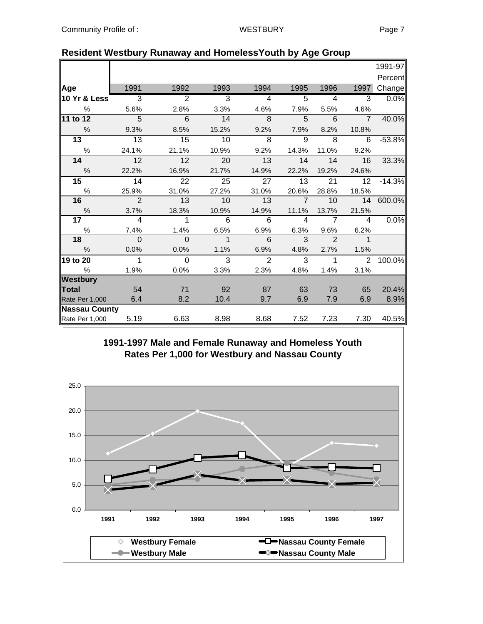|                         |                |                |             |                         |                |                          |                         | 1991-97  |
|-------------------------|----------------|----------------|-------------|-------------------------|----------------|--------------------------|-------------------------|----------|
|                         |                |                |             |                         |                |                          |                         | Percent  |
| Age                     | 1991           | 1992           | 1993        | 1994                    | 1995           | 1996                     | 1997                    | Change   |
| <b>10 Yr &amp; Less</b> | 3              | $\overline{2}$ | 3           | $\overline{\mathbf{A}}$ | 5              | $\overline{\mathcal{A}}$ | 3                       | 0.0%     |
| $\%$                    | 5.6%           | 2.8%           | 3.3%        | 4.6%                    | 7.9%           | 5.5%                     | 4.6%                    |          |
| $11$ to 12              | $\overline{5}$ | 6              | 14          | 8                       | 5              | 6                        | $\overline{7}$          | 40.0%    |
| $\frac{0}{0}$           | 9.3%           | 8.5%           | 15.2%       | 9.2%                    | 7.9%           | 8.2%                     | 10.8%                   |          |
| 13                      | 13             | 15             | 10          | 8                       | 9              | 8                        | 6                       | $-53.8%$ |
| $\%$                    | 24.1%          | 21.1%          | 10.9%       | 9.2%                    | 14.3%          | 11.0%                    | 9.2%                    |          |
| 14                      | 12             | 12             | 20          | 13                      | 14             | 14                       | 16                      | 33.3%    |
| $\frac{0}{0}$           | 22.2%          | 16.9%          | 21.7%       | 14.9%                   | 22.2%          | 19.2%                    | 24.6%                   |          |
| 15                      | 14             | 22             | 25          | 27                      | 13             | 21                       | 12                      | $-14.3%$ |
| $\%$                    | 25.9%          | 31.0%          | 27.2%       | 31.0%                   | 20.6%          | 28.8%                    | 18.5%                   |          |
| 16                      | $\overline{2}$ | 13             | 10          | 13                      | $\overline{7}$ | 10                       | 14                      | 600.0%   |
| $\%$                    | 3.7%           | 18.3%          | 10.9%       | 14.9%                   | 11.1%          | 13.7%                    | 21.5%                   |          |
| 17                      | 4              | 1              | 6           | 6                       | 4              | $\overline{7}$           | $\overline{\mathbf{4}}$ | 0.0%     |
| %                       | 7.4%           | 1.4%           | 6.5%        | 6.9%                    | 6.3%           | 9.6%                     | 6.2%                    |          |
| 18                      | $\Omega$       | $\Omega$       | $\mathbf 1$ | 6                       | 3              | $\mathcal{P}$            | $\mathbf 1$             |          |
| %                       | 0.0%           | 0.0%           | 1.1%        | 6.9%                    | 4.8%           | 2.7%                     | 1.5%                    |          |
| 19 to 20                | 1              | $\Omega$       | 3           | $\overline{2}$          | 3              | 1                        | 2                       | 100.0%   |
| $\%$                    | 1.9%           | 0.0%           | 3.3%        | 2.3%                    | 4.8%           | 1.4%                     | 3.1%                    |          |
| <b>Westbury</b>         |                |                |             |                         |                |                          |                         |          |
| <b>Total</b>            | 54             | 71             | 92          | 87                      | 63             | 73                       | 65                      | 20.4%    |
| Rate Per 1,000          | 6.4            | 8.2            | 10.4        | 9.7                     | 6.9            | 7.9                      | 6.9                     | 8.9%     |
| <b>Nassau County</b>    |                |                |             |                         |                |                          | 7.30                    | 40.5%    |
| Rate Per 1,000          | 5.19           | 6.63           | 8.98        | 8.68                    | 7.52           | 7.23                     |                         |          |

### **Resident Westbury Runaway and HomelessYouth by Age Group**

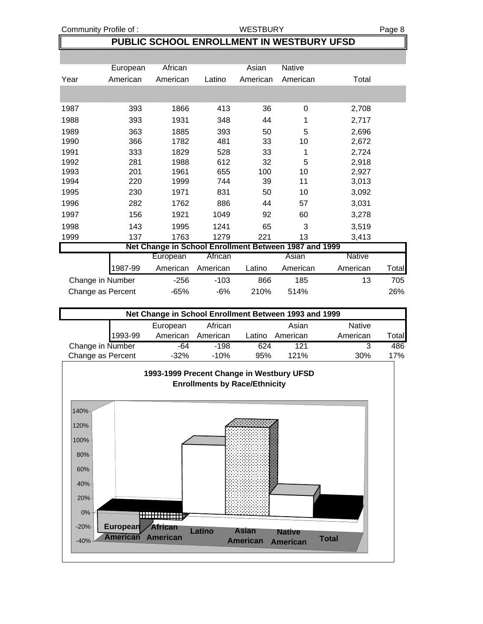Community Profile of : WESTBURY WESTBURY Page 8

 $\overline{\phantom{a}}$ 

### **PUBLIC SCHOOL ENROLLMENT IN WESTBURY UFSD**

|      | European          | African                                               |          | Asian    | Native   |                   |
|------|-------------------|-------------------------------------------------------|----------|----------|----------|-------------------|
| Year | American          | American                                              | Latino   | American | American | Total             |
|      |                   |                                                       |          |          |          |                   |
| 1987 | 393               | 1866                                                  | 413      | 36       | 0        | 2,708             |
| 1988 | 393               | 1931                                                  | 348      | 44       | 1        | 2,717             |
| 1989 | 363               | 1885                                                  | 393      | 50       | 5        | 2,696             |
| 1990 | 366               | 1782                                                  | 481      | 33       | 10       | 2,672             |
| 1991 | 333               | 1829                                                  | 528      | 33       | 1        | 2,724             |
| 1992 | 281               | 1988                                                  | 612      | 32       | 5        | 2,918             |
| 1993 | 201               | 1961                                                  | 655      | 100      | 10       | 2,927             |
| 1994 | 220               | 1999                                                  | 744      | 39       | 11       | 3,013             |
| 1995 | 230               | 1971                                                  | 831      | 50       | 10       | 3,092             |
| 1996 | 282               | 1762                                                  | 886      | 44       | 57       | 3,031             |
| 1997 | 156               | 1921                                                  | 1049     | 92       | 60       | 3,278             |
| 1998 | 143               | 1995                                                  | 1241     | 65       | 3        | 3,519             |
| 1999 | 137               | 1763                                                  | 1279     | 221      | 13       | 3,413             |
|      |                   | Net Change in School Enrollment Between 1987 and 1999 |          |          |          |                   |
|      |                   | European                                              | African  |          | Asian    | <b>Native</b>     |
|      | 1987-99           | American                                              | American | Latino   | American | American<br>Total |
|      | Change in Number  | $-256$                                                | $-103$   | 866      | 185      | 13<br>705         |
|      | Change as Percent | $-65%$                                                | $-6%$    | 210%     | 514%     | 26%               |

| Net Change in School Enrollment Between 1993 and 1999 |         |          |          |        |          |               |              |  |  |  |
|-------------------------------------------------------|---------|----------|----------|--------|----------|---------------|--------------|--|--|--|
|                                                       |         | European | African  |        | Asian    | <b>Native</b> |              |  |  |  |
|                                                       | 1993-99 | American | American | Latino | American | American      | <b>Total</b> |  |  |  |
| Change in Number                                      |         | -64      | $-198$   | 624    | 121      |               | 486          |  |  |  |
| Change as Percent                                     |         | $-32\%$  | -10%     | 95%    | 121%     | 30%           | 17%          |  |  |  |

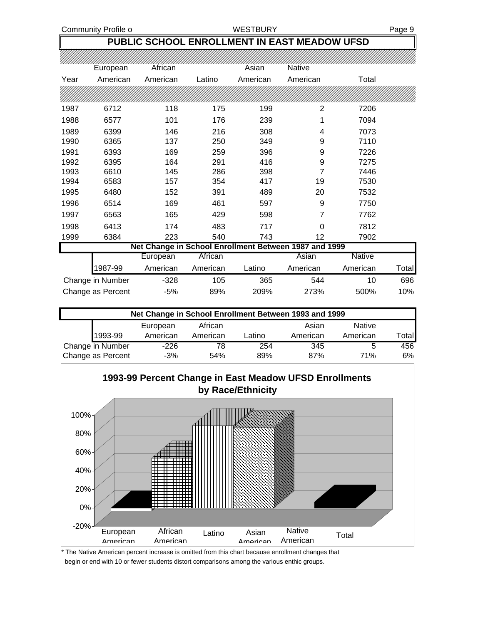Community Profile o **Example 20 WESTBURY Page 9** Page 9

### **PUBLIC SCHOOL ENROLLMENT IN EAST MEADOW UFSD**

|      | European          | African  |          | Asian    | Native                                                |               |       |
|------|-------------------|----------|----------|----------|-------------------------------------------------------|---------------|-------|
| Year | American          | American | Latino   | American | American                                              | Total         |       |
|      |                   |          |          |          |                                                       |               |       |
| 1987 | 6712              | 118      | 175      | 199      | 2                                                     | 7206          |       |
| 1988 | 6577              | 101      | 176      | 239      |                                                       | 7094          |       |
| 1989 | 6399              | 146      | 216      | 308      | 4                                                     | 7073          |       |
| 1990 | 6365              | 137      | 250      | 349      | 9                                                     | 7110          |       |
| 1991 | 6393              | 169      | 259      | 396      | 9                                                     | 7226          |       |
| 1992 | 6395              | 164      | 291      | 416      | 9                                                     | 7275          |       |
| 1993 | 6610              | 145      | 286      | 398      | 7                                                     | 7446          |       |
| 1994 | 6583              | 157      | 354      | 417      | 19                                                    | 7530          |       |
| 1995 | 6480              | 152      | 391      | 489      | 20                                                    | 7532          |       |
| 1996 | 6514              | 169      | 461      | 597      | 9                                                     | 7750          |       |
| 1997 | 6563              | 165      | 429      | 598      | 7                                                     | 7762          |       |
| 1998 | 6413              | 174      | 483      | 717      | $\Omega$                                              | 7812          |       |
| 1999 | 6384              | 223      | 540      | 743      | 12                                                    | 7902          |       |
|      |                   |          |          |          | Net Change in School Enrollment Between 1987 and 1999 |               |       |
|      |                   | European | African  |          | Asian                                                 | <b>Native</b> |       |
|      | 1987-99           | American | American | Latino   | American                                              | American      | Total |
|      | Change in Number  | $-328$   | 105      | 365      | 544                                                   | 10            | 696   |
|      | Change as Percent | $-5%$    | 89%      | 209%     | 273%                                                  | 500%          | 10%   |

| Net Change in School Enrollment Between 1993 and 1999 |          |          |        |          |               |       |  |  |  |  |
|-------------------------------------------------------|----------|----------|--------|----------|---------------|-------|--|--|--|--|
|                                                       | European | African  |        | Asian    | <b>Native</b> |       |  |  |  |  |
| 1993-99                                               | American | American | Latino | American | American      | Total |  |  |  |  |
| Change in Number                                      | $-226$   | 78       | 254    | 345      | 5             | 456   |  |  |  |  |
| Change as Percent                                     | $-3%$    | 54%      | 89%    | 87%      | 71%           | 6%    |  |  |  |  |



\* The Native American percent increase is omitted from this chart because enrollment changes that begin or end with 10 or fewer students distort comparisons among the various enthic groups.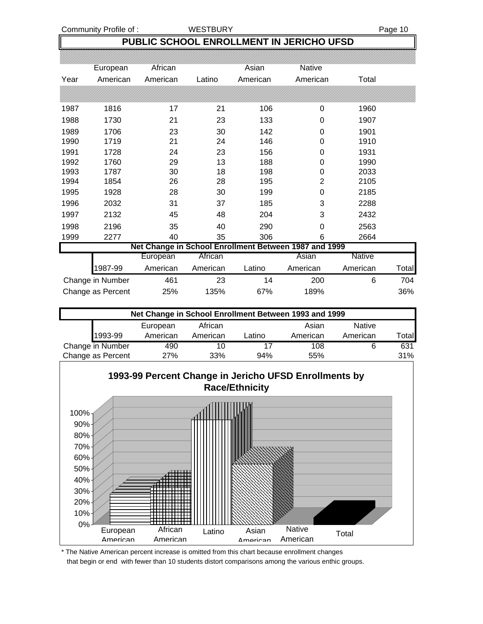Community Profile of : WESTBURY **Page 10** 

### **PUBLIC SCHOOL ENROLLMENT IN JERICHO UFSD**

|      | European          | African  |          | Asian    | Native                                                |               |       |
|------|-------------------|----------|----------|----------|-------------------------------------------------------|---------------|-------|
| Year | American          | American | Latino   | American | American                                              | Total         |       |
|      |                   |          |          |          |                                                       |               |       |
| 1987 | 1816              | 17       | 21       | 106      | 0                                                     | 1960          |       |
| 1988 | 1730              | 21       | 23       | 133      | 0                                                     | 1907          |       |
| 1989 | 1706              | 23       | 30       | 142      | 0                                                     | 1901          |       |
| 1990 | 1719              | 21       | 24       | 146      | 0                                                     | 1910          |       |
| 1991 | 1728              | 24       | 23       | 156      | 0                                                     | 1931          |       |
| 1992 | 1760              | 29       | 13       | 188      | 0                                                     | 1990          |       |
| 1993 | 1787              | 30       | 18       | 198      | 0                                                     | 2033          |       |
| 1994 | 1854              | 26       | 28       | 195      | $\overline{2}$                                        | 2105          |       |
| 1995 | 1928              | 28       | 30       | 199      | 0                                                     | 2185          |       |
| 1996 | 2032              | 31       | 37       | 185      | 3                                                     | 2288          |       |
| 1997 | 2132              | 45       | 48       | 204      | 3                                                     | 2432          |       |
| 1998 | 2196              | 35       | 40       | 290      | 0                                                     | 2563          |       |
| 1999 | 2277              | 40       | 35       | 306      | 6                                                     | 2664          |       |
|      |                   |          |          |          | Net Change in School Enrollment Between 1987 and 1999 |               |       |
|      |                   | European | African  |          | Asian                                                 | <b>Native</b> |       |
|      | 1987-99           | American | American | Latino   | American                                              | American      | Total |
|      | Change in Number  | 461      | 23       | 14       | 200                                                   | 6             | 704   |
|      | Change as Percent | 25%      | 135%     | 67%      | 189%                                                  |               | 36%   |

| Net Change in School Enrollment Between 1993 and 1999 |          |          |        |          |               |       |  |  |  |  |
|-------------------------------------------------------|----------|----------|--------|----------|---------------|-------|--|--|--|--|
|                                                       | European | African  |        | Asian    | <b>Native</b> |       |  |  |  |  |
| 1993-99                                               | American | American | Latino | American | American      | Total |  |  |  |  |
| Change in Number                                      | 490      | 10       |        | 108      | 6             | 631   |  |  |  |  |
| Change as Percent                                     | 27%      | 33%      | 94%    | 55%      |               | 31%   |  |  |  |  |



\* The Native American percent increase is omitted from this chart because enrollment changes that begin or end with fewer than 10 students distort comparisons among the various enthic groups.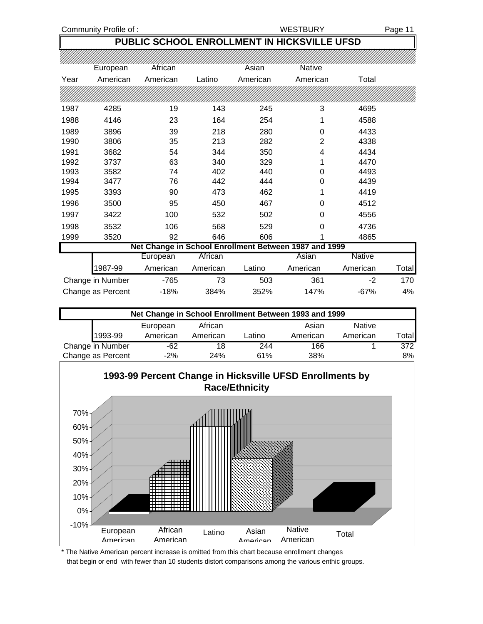Community Profile of : The Community Profile of : The Community Profile of : The Community Page 11

### **PUBLIC SCHOOL ENROLLMENT IN HICKSVILLE UFSD**

|      | European          | African  |          | Asian    | <b>Native</b>                                         |               |       |
|------|-------------------|----------|----------|----------|-------------------------------------------------------|---------------|-------|
| Year | American          | American | Latino   | American | American                                              | Total         |       |
|      |                   |          |          |          |                                                       |               |       |
| 1987 | 4285              | 19       | 143      | 245      | 3                                                     | 4695          |       |
| 1988 | 4146              | 23       | 164      | 254      |                                                       | 4588          |       |
| 1989 | 3896              | 39       | 218      | 280      | 0                                                     | 4433          |       |
| 1990 | 3806              | 35       | 213      | 282      | $\overline{2}$                                        | 4338          |       |
| 1991 | 3682              | 54       | 344      | 350      | 4                                                     | 4434          |       |
| 1992 | 3737              | 63       | 340      | 329      |                                                       | 4470          |       |
| 1993 | 3582              | 74       | 402      | 440      | 0                                                     | 4493          |       |
| 1994 | 3477              | 76       | 442      | 444      | 0                                                     | 4439          |       |
| 1995 | 3393              | 90       | 473      | 462      |                                                       | 4419          |       |
| 1996 | 3500              | 95       | 450      | 467      | 0                                                     | 4512          |       |
| 1997 | 3422              | 100      | 532      | 502      | 0                                                     | 4556          |       |
| 1998 | 3532              | 106      | 568      | 529      | 0                                                     | 4736          |       |
| 1999 | 3520              | 92       | 646      | 606      |                                                       | 4865          |       |
|      |                   |          |          |          | Net Change in School Enrollment Between 1987 and 1999 |               |       |
|      |                   | European | African  |          | Asian                                                 | <b>Native</b> |       |
|      | 1987-99           | American | American | Latino   | American                                              | American      | Total |
|      | Change in Number  | $-765$   | 73       | 503      | 361                                                   | $-2$          | 170   |
|      | Change as Percent | $-18%$   | 384%     | 352%     | 147%                                                  | $-67%$        | 4%    |

| Net Change in School Enrollment Between 1993 and 1999 |          |          |        |          |               |       |  |  |  |  |
|-------------------------------------------------------|----------|----------|--------|----------|---------------|-------|--|--|--|--|
|                                                       | European | African  |        | Asian    | <b>Native</b> |       |  |  |  |  |
| 1993-99                                               | American | American | Latino | American | American      | Total |  |  |  |  |
| Change in Number                                      | $-62$    | 18       | 244    | 166      |               | 372   |  |  |  |  |
| Change as Percent                                     | $-2%$    | 24%      | 61%    | 38%      |               | 8%    |  |  |  |  |



\* The Native American percent increase is omitted from this chart because enrollment changes that begin or end with fewer than 10 students distort comparisons among the various enthic groups.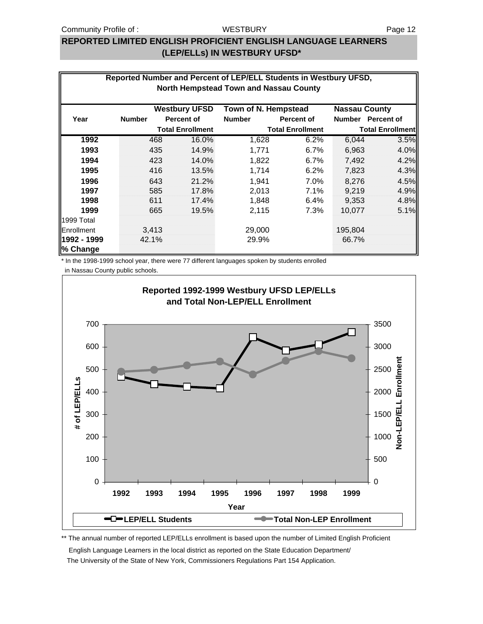### **WESTBURY**

### **REPORTED LIMITED ENGLISH PROFICIENT ENGLISH LANGUAGE LEARNERS (LEP/ELLs) IN WESTBURY UFSD\***

| Reported Number and Percent of LEP/ELL Students in Westbury UFSD, |                                               |       |                         |                      |                         |                      |                         |  |  |  |  |  |
|-------------------------------------------------------------------|-----------------------------------------------|-------|-------------------------|----------------------|-------------------------|----------------------|-------------------------|--|--|--|--|--|
|                                                                   | <b>North Hempstead Town and Nassau County</b> |       |                         |                      |                         |                      |                         |  |  |  |  |  |
|                                                                   |                                               |       |                         |                      |                         |                      |                         |  |  |  |  |  |
|                                                                   |                                               |       | <b>Westbury UFSD</b>    | Town of N. Hempstead |                         | <b>Nassau County</b> |                         |  |  |  |  |  |
| Year                                                              | <b>Number</b>                                 |       | <b>Percent of</b>       | <b>Number</b>        | <b>Percent of</b>       | <b>Number</b>        | <b>Percent of</b>       |  |  |  |  |  |
|                                                                   |                                               |       | <b>Total Enrollment</b> |                      | <b>Total Enrollment</b> |                      | <b>Total Enrollment</b> |  |  |  |  |  |
| 1992                                                              |                                               | 468   | 16.0%                   | 1,628                | 6.2%                    | 6,044                | 3.5%                    |  |  |  |  |  |
| 1993                                                              |                                               | 435   | 14.9%                   | 1,771                | 6.7%                    | 6,963                | 4.0%                    |  |  |  |  |  |
| 1994                                                              |                                               | 423   | 14.0%                   | 1,822                | 6.7%                    | 7,492                | 4.2%                    |  |  |  |  |  |
| 1995                                                              |                                               | 416   | 13.5%                   | 1,714                | 6.2%                    | 7,823                | 4.3%                    |  |  |  |  |  |
| 1996                                                              |                                               | 643   | 21.2%                   | 1,941                | 7.0%                    | 8,276                | 4.5%                    |  |  |  |  |  |
| 1997                                                              |                                               | 585   | 17.8%                   | 2,013                | 7.1%                    | 9.219                | 4.9%                    |  |  |  |  |  |
| 1998                                                              |                                               | 611   | 17.4%                   | 1,848                | 6.4%                    | 9,353                | 4.8%                    |  |  |  |  |  |
| 1999                                                              |                                               | 665   | 19.5%                   | 2,115                | 7.3%                    | 10,077               | 5.1%                    |  |  |  |  |  |
| 1999 Total                                                        |                                               |       |                         |                      |                         |                      |                         |  |  |  |  |  |
| Enrollment                                                        |                                               | 3,413 |                         | 29,000               |                         | 195,804              |                         |  |  |  |  |  |
| 1992 - 1999                                                       | 42.1%                                         |       |                         | 29.9%                |                         | 66.7%                |                         |  |  |  |  |  |
| % Change                                                          |                                               |       |                         |                      |                         |                      |                         |  |  |  |  |  |

\* In the 1998-1999 school year, there were 77 different languages spoken by students enrolled

in Nassau County public schools.



\*\* The annual number of reported LEP/ELLs enrollment is based upon the number of Limited English Proficient

 English Language Learners in the local district as reported on the State Education Department/ The University of the State of New York, Commissioners Regulations Part 154 Application.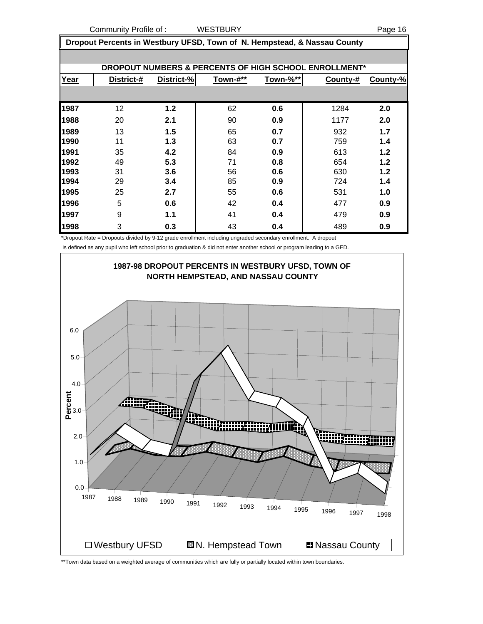Community Profile of : WESTBURY **Page 16** 

 **Dropout Percents in Westbury UFSD, Town of N. Hempstead, & Nassau County**

|      | DROPOUT NUMBERS & PERCENTS OF HIGH SCHOOL ENROLLMENT* |            |          |          |          |          |  |  |  |  |  |  |
|------|-------------------------------------------------------|------------|----------|----------|----------|----------|--|--|--|--|--|--|
| Year | District-#                                            | District-% | Town-#** | Town-%** | County-# | County-% |  |  |  |  |  |  |
|      |                                                       |            |          |          |          |          |  |  |  |  |  |  |
| 1987 | 12                                                    | 1.2        | 62       | 0.6      | 1284     | 2.0      |  |  |  |  |  |  |
| 1988 | 20                                                    | 2.1        | 90       | 0.9      | 1177     | 2.0      |  |  |  |  |  |  |
| 1989 | 13                                                    | 1.5        | 65       | 0.7      | 932      | 1.7      |  |  |  |  |  |  |
| 1990 | 11                                                    | 1.3        | 63       | 0.7      | 759      | 1.4      |  |  |  |  |  |  |
| 1991 | 35                                                    | 4.2        | 84       | 0.9      | 613      | 1.2      |  |  |  |  |  |  |
| 1992 | 49                                                    | 5.3        | 71       | 0.8      | 654      | 1.2      |  |  |  |  |  |  |
| 1993 | 31                                                    | 3.6        | 56       | 0.6      | 630      | 1.2      |  |  |  |  |  |  |
| 1994 | 29                                                    | 3.4        | 85       | 0.9      | 724      | 1.4      |  |  |  |  |  |  |
| 1995 | 25                                                    | 2.7        | 55       | 0.6      | 531      | 1.0      |  |  |  |  |  |  |
| 1996 | 5                                                     | 0.6        | 42       | 0.4      | 477      | 0.9      |  |  |  |  |  |  |
| 1997 | 9                                                     | 1.1        | 41       | 0.4      | 479      | 0.9      |  |  |  |  |  |  |
| 1998 | 3                                                     | 0.3        | 43       | 0.4      | 489      | 0.9      |  |  |  |  |  |  |

\*Dropout Rate = Dropouts divided by 9-12 grade enrollment including ungraded secondary enrollment. A dropout

is defined as any pupil who left school prior to graduation & did not enter another school or program leading to a GED.



\*\*Town data based on a weighted average of communities which are fully or partially located within town boundaries.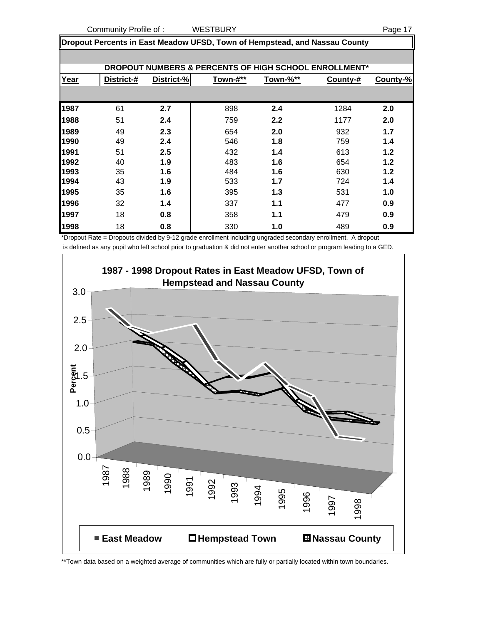**Dropout Percents in East Meadow UFSD, Town of Hempstead, and Nassau County**

|      | <b>DROPOUT NUMBERS &amp; PERCENTS OF HIGH SCHOOL ENROLLMENT*</b> |            |          |          |          |          |  |  |  |  |  |  |
|------|------------------------------------------------------------------|------------|----------|----------|----------|----------|--|--|--|--|--|--|
| Year | District-#                                                       | District-% | Town-#** | Town-%** | County-# | County-% |  |  |  |  |  |  |
|      |                                                                  |            |          |          |          |          |  |  |  |  |  |  |
| 1987 | 61                                                               | 2.7        | 898      | 2.4      | 1284     | 2.0      |  |  |  |  |  |  |
| 1988 | 51                                                               | 2.4        | 759      | 2.2      | 1177     | 2.0      |  |  |  |  |  |  |
| 1989 | 49                                                               | 2.3        | 654      | 2.0      | 932      | 1.7      |  |  |  |  |  |  |
| 1990 | 49                                                               | 2.4        | 546      | 1.8      | 759      | 1.4      |  |  |  |  |  |  |
| 1991 | 51                                                               | 2.5        | 432      | 1.4      | 613      | 1.2      |  |  |  |  |  |  |
| 1992 | 40                                                               | 1.9        | 483      | 1.6      | 654      | 1.2      |  |  |  |  |  |  |
| 1993 | 35                                                               | 1.6        | 484      | 1.6      | 630      | 1.2      |  |  |  |  |  |  |
| 1994 | 43                                                               | 1.9        | 533      | 1.7      | 724      | 1.4      |  |  |  |  |  |  |
| 1995 | 35                                                               | 1.6        | 395      | 1.3      | 531      | 1.0      |  |  |  |  |  |  |
| 1996 | 32                                                               | 1.4        | 337      | 1.1      | 477      | 0.9      |  |  |  |  |  |  |
| 1997 | 18                                                               | 0.8        | 358      | 1.1      | 479      | 0.9      |  |  |  |  |  |  |
| 1998 | 18                                                               | 0.8        | 330      | 1.0      | 489      | 0.9      |  |  |  |  |  |  |

\*Dropout Rate = Dropouts divided by 9-12 grade enrollment including ungraded secondary enrollment. A dropout is defined as any pupil who left school prior to graduation & did not enter another school or program leading to a GED.

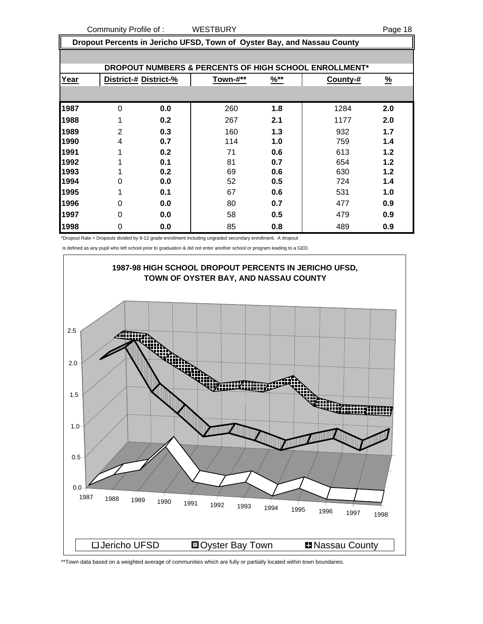**Dropout Percents in Jericho UFSD, Town of Oyster Bay, and Nassau County**

|      | DROPOUT NUMBERS & PERCENTS OF HIGH SCHOOL ENROLLMENT* |                       |          |                  |          |               |  |  |  |  |  |  |
|------|-------------------------------------------------------|-----------------------|----------|------------------|----------|---------------|--|--|--|--|--|--|
| Year |                                                       | District-# District-% | Town-#** | $\frac{9}{6}$ ** | County-# | $\frac{9}{6}$ |  |  |  |  |  |  |
|      |                                                       |                       |          |                  |          |               |  |  |  |  |  |  |
| 1987 | $\Omega$                                              | 0.0                   | 260      | 1.8              | 1284     | 2.0           |  |  |  |  |  |  |
| 1988 | 1                                                     | 0.2                   | 267      | 2.1              | 1177     | 2.0           |  |  |  |  |  |  |
| 1989 | $\overline{2}$                                        | 0.3                   | 160      | 1.3              | 932      | 1.7           |  |  |  |  |  |  |
| 1990 | 4                                                     | 0.7                   | 114      | 1.0              | 759      | 1.4           |  |  |  |  |  |  |
| 1991 | 4                                                     | 0.2                   | 71       | 0.6              | 613      | 1.2           |  |  |  |  |  |  |
| 1992 |                                                       | 0.1                   | 81       | 0.7              | 654      | 1.2           |  |  |  |  |  |  |
| 1993 |                                                       | 0.2                   | 69       | 0.6              | 630      | 1.2           |  |  |  |  |  |  |
| 1994 | 0                                                     | 0.0                   | 52       | 0.5              | 724      | 1.4           |  |  |  |  |  |  |
| 1995 | 1                                                     | 0.1                   | 67       | 0.6              | 531      | 1.0           |  |  |  |  |  |  |
| 1996 | 0                                                     | 0.0                   | 80       | 0.7              | 477      | 0.9           |  |  |  |  |  |  |
| 1997 | 0                                                     | 0.0                   | 58       | 0.5              | 479      | 0.9           |  |  |  |  |  |  |
| 1998 | 0                                                     | 0.0                   | 85       | 0.8              | 489      | 0.9           |  |  |  |  |  |  |

\*Dropout Rate = Dropouts divided by 9-12 grade enrollment including ungraded secondary enrollment. A dropout

is defined as any pupil who left school prior to graduation & did not enter another school or program leading to a GED.



\*\*Town data based on a weighted average of communities which are fully or partially located within town boundaries.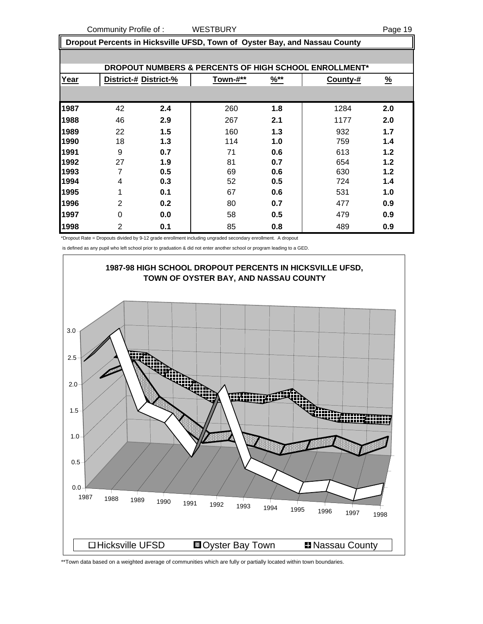**Dropout Percents in Hicksville UFSD, Town of Oyster Bay, and Nassau County**

|      | <b>DROPOUT NUMBERS &amp; PERCENTS OF HIGH SCHOOL ENROLLMENT*</b> |     |          |                  |          |               |  |  |  |  |  |  |
|------|------------------------------------------------------------------|-----|----------|------------------|----------|---------------|--|--|--|--|--|--|
| Year | District-# District-%                                            |     | Town-#** | $\frac{96**}{5}$ | County-# | $\frac{9}{6}$ |  |  |  |  |  |  |
|      |                                                                  |     |          |                  |          |               |  |  |  |  |  |  |
| 1987 | 42                                                               | 2.4 | 260      | 1.8              | 1284     | 2.0           |  |  |  |  |  |  |
| 1988 | 46                                                               | 2.9 | 267      | 2.1              | 1177     | 2.0           |  |  |  |  |  |  |
| 1989 | 22                                                               | 1.5 | 160      | 1.3              | 932      | 1.7           |  |  |  |  |  |  |
| 1990 | 18                                                               | 1.3 | 114      | 1.0              | 759      | 1.4           |  |  |  |  |  |  |
| 1991 | 9                                                                | 0.7 | 71       | 0.6              | 613      | 1.2           |  |  |  |  |  |  |
| 1992 | 27                                                               | 1.9 | 81       | 0.7              | 654      | $1.2$         |  |  |  |  |  |  |
| 1993 | 7                                                                | 0.5 | 69       | 0.6              | 630      | 1.2           |  |  |  |  |  |  |
| 1994 | 4                                                                | 0.3 | 52       | 0.5              | 724      | 1.4           |  |  |  |  |  |  |
| 1995 | 1                                                                | 0.1 | 67       | 0.6              | 531      | 1.0           |  |  |  |  |  |  |
| 1996 | $\overline{2}$                                                   | 0.2 | 80       | 0.7              | 477      | 0.9           |  |  |  |  |  |  |
| 1997 | 0                                                                | 0.0 | 58       | 0.5              | 479      | 0.9           |  |  |  |  |  |  |
| 1998 | 2                                                                | 0.1 | 85       | 0.8              | 489      | 0.9           |  |  |  |  |  |  |

\*Dropout Rate = Dropouts divided by 9-12 grade enrollment including ungraded secondary enrollment. A dropout

is defined as any pupil who left school prior to graduation & did not enter another school or program leading to a GED.



\*\*Town data based on a weighted average of communities which are fully or partially located within town boundaries.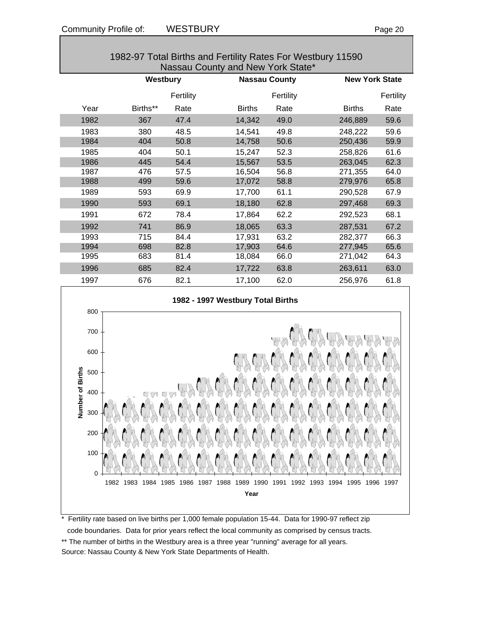|                                              | Westbury |           |               | <b>Nassau County</b> |               | <b>New York State</b> |  |  |  |
|----------------------------------------------|----------|-----------|---------------|----------------------|---------------|-----------------------|--|--|--|
|                                              |          | Fertility |               | Fertility            |               | Fertility             |  |  |  |
| Year                                         | Births** | Rate      | <b>Births</b> | Rate                 | <b>Births</b> | Rate                  |  |  |  |
| 1982                                         | 367      | 47.4      | 14,342        | 49.0                 | 246,889       | 59.6                  |  |  |  |
| 1983                                         | 380      | 48.5      | 14,541        | 49.8                 | 248,222       | 59.6                  |  |  |  |
| 1984                                         | 404      | 50.8      | 14,758        | 50.6                 | 250,436       | 59.9                  |  |  |  |
| 1985                                         | 404      | 50.1      | 15,247        | 52.3                 | 258,826       | 61.6                  |  |  |  |
| 1986                                         | 445      | 54.4      | 15,567        | 53.5                 | 263,045       | 62.3                  |  |  |  |
| 1987                                         | 476      | 57.5      | 16,504        | 56.8                 | 271,355       | 64.0                  |  |  |  |
| 1988                                         | 499      | 59.6      | 17,072        | 58.8                 | 279,976       | 65.8                  |  |  |  |
| 1989                                         | 593      | 69.9      | 17,700        | 61.1                 | 290,528       | 67.9                  |  |  |  |
| 1990                                         | 593      | 69.1      | 18,180        | 62.8                 | 297,468       | 69.3                  |  |  |  |
| 1991                                         | 672      | 78.4      | 17,864        | 62.2                 | 292,523       | 68.1                  |  |  |  |
| 1992                                         | 741      | 86.9      | 18,065        | 63.3                 | 287,531       | 67.2                  |  |  |  |
| 1993                                         | 715      | 84.4      | 17,931        | 63.2                 | 282,377       | 66.3                  |  |  |  |
| 1994                                         | 698      | 82.8      | 17,903        | 64.6                 | 277,945       | 65.6                  |  |  |  |
| 1995                                         | 683      | 81.4      | 18,084        | 66.0                 | 271,042       | 64.3                  |  |  |  |
| 1996                                         | 685      | 82.4      | 17,722        | 63.8                 | 263,611       | 63.0                  |  |  |  |
| 1997                                         | 676      | 82.1      | 17,100        | 62.0                 | 256,976       | 61.8                  |  |  |  |
| 1982 - 1997 Westbury Total Births<br>$800 -$ |          |           |               |                      |               |                       |  |  |  |





Fertility rate based on live births per 1,000 female population 15-44. Data for 1990-97 reflect zip code boundaries. Data for prior years reflect the local community as comprised by census tracts. \*\* The number of births in the Westbury area is a three year "running" average for all years. Source: Nassau County & New York State Departments of Health.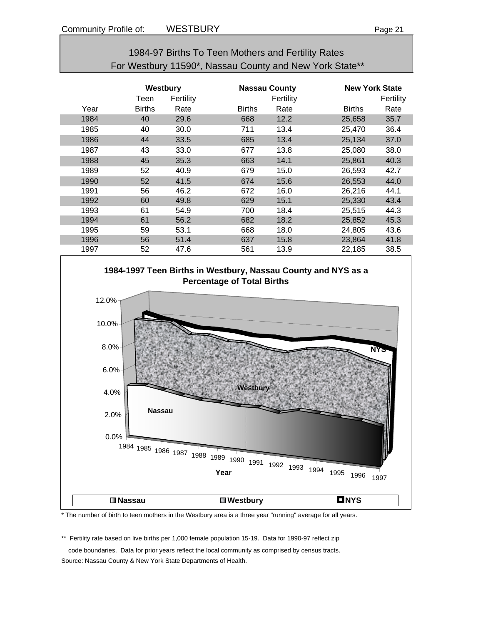| 1984-97 Births To Teen Mothers and Fertility Rates      |
|---------------------------------------------------------|
| For Westbury 11590*, Nassau County and New York State** |

|      | Westbury<br>Teen | Fertility |               | <b>Nassau County</b><br>Fertility | <b>New York State</b> | Fertility |
|------|------------------|-----------|---------------|-----------------------------------|-----------------------|-----------|
| Year | <b>Births</b>    | Rate      | <b>Births</b> | Rate                              | <b>Births</b>         | Rate      |
| 1984 | 40               | 29.6      | 668           | 12.2                              | 25,658                | 35.7      |
| 1985 | 40               | 30.0      | 711           | 13.4                              | 25.470                | 36.4      |
| 1986 | 44               | 33.5      | 685           | 13.4                              | 25,134                | 37.0      |
| 1987 | 43               | 33.0      | 677           | 13.8                              | 25,080                | 38.0      |
| 1988 | 45               | 35.3      | 663           | 14.1                              | 25,861                | 40.3      |
| 1989 | 52               | 40.9      | 679           | 15.0                              | 26,593                | 42.7      |
| 1990 | 52               | 41.5      | 674           | 15.6                              | 26,553                | 44.0      |
| 1991 | 56               | 46.2      | 672           | 16.0                              | 26,216                | 44.1      |
| 1992 | 60               | 49.8      | 629           | 15.1                              | 25,330                | 43.4      |
| 1993 | 61               | 54.9      | 700           | 18.4                              | 25,515                | 44.3      |
| 1994 | 61               | 56.2      | 682           | 18.2                              | 25,852                | 45.3      |
| 1995 | 59               | 53.1      | 668           | 18.0                              | 24,805                | 43.6      |
| 1996 | 56               | 51.4      | 637           | 15.8                              | 23,864                | 41.8      |
| 1997 | 52               | 47.6      | 561           | 13.9                              | 22,185                | 38.5      |



\* The number of birth to teen mothers in the Westbury area is a three year "running" average for all years.

\*\* Fertility rate based on live births per 1,000 female population 15-19. Data for 1990-97 reflect zip

 code boundaries. Data for prior years reflect the local community as comprised by census tracts. Source: Nassau County & New York State Departments of Health.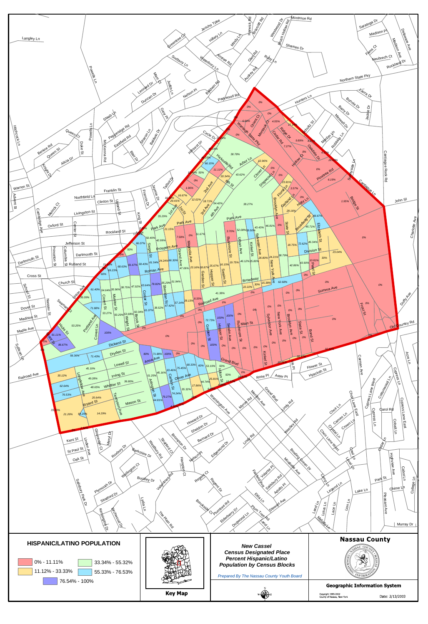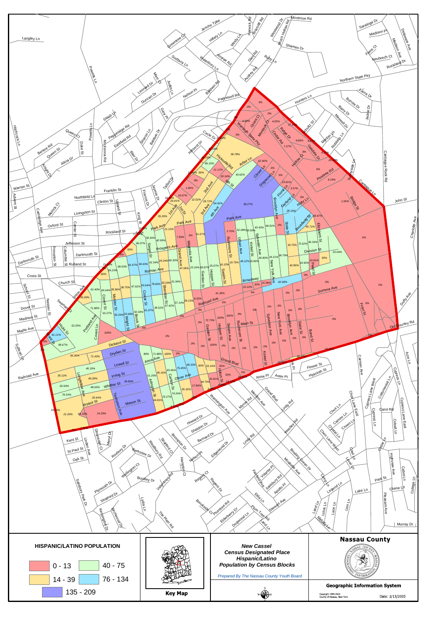